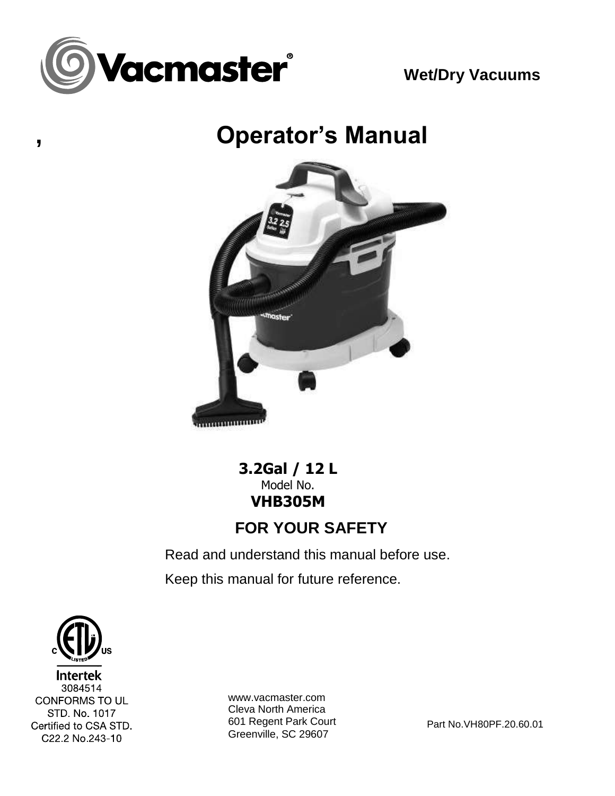

**Wet/Dry Vacuums**

**, Operator's Manual**



**3.2Gal / 12 L** Model No. **VHB305M FOR YOUR SAFETY**

Read and understand this manual before use. Keep this manual for future reference.

**Intertek** 3084514 CONFORMS TO UL STD No 1017 Certified to CSA STD. C22.2 No.243-10

www.vacmaster.com Cleva North America 601 Regent Park Court Greenville, SC 29607

Part No.VH80PF.20.60.01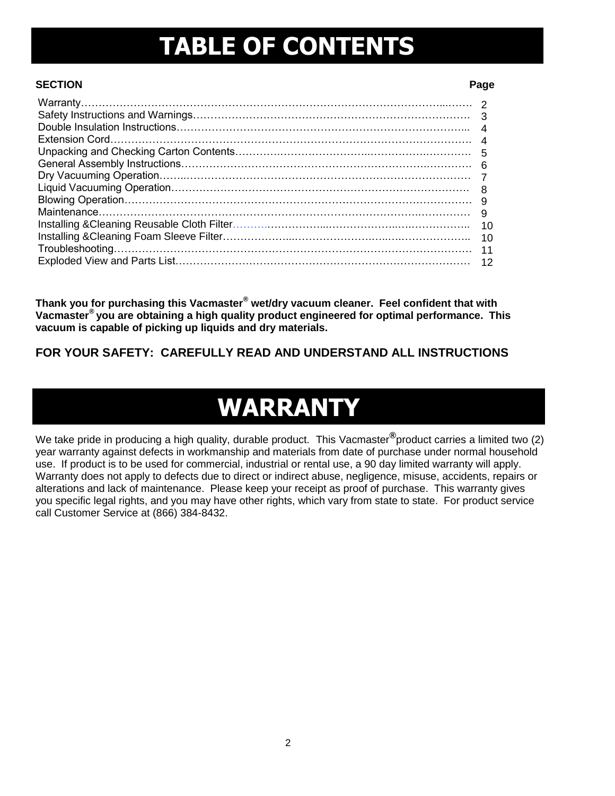### **TABLE OF CONTENTS**

#### **SECTION Page**

| 6   |  |
|-----|--|
|     |  |
|     |  |
| 9   |  |
| - 9 |  |
| 10  |  |
| 10  |  |
| 11  |  |
| 12  |  |

**Thank you for purchasing this Vacmaster® wet/dry vacuum cleaner. Feel confident that with Vacmaster® you are obtaining a high quality product engineered for optimal performance. This vacuum is capable of picking up liquids and dry materials.** 

#### **FOR YOUR SAFETY: CAREFULLY READ AND UNDERSTAND ALL INSTRUCTIONS**

### **WARRANTY**

We take pride in producing a high quality, durable product. This Vacmaster**®** product carries a limited two (2) year warranty against defects in workmanship and materials from date of purchase under normal household use. If product is to be used for commercial, industrial or rental use, a 90 day limited warranty will apply. Warranty does not apply to defects due to direct or indirect abuse, negligence, misuse, accidents, repairs or alterations and lack of maintenance. Please keep your receipt as proof of purchase. This warranty gives you specific legal rights, and you may have other rights, which vary from state to state. For product service call Customer Service at (866) 384-8432.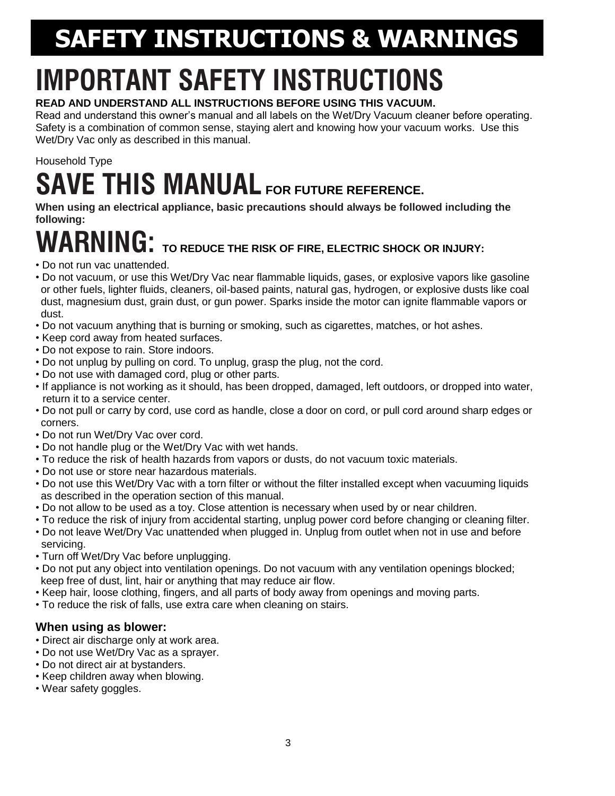# **SAFETY INSTRUCTIONS & WARNINGS**

# **IMPORTANT SAFETY INSTRUCTIONS**

#### **READ AND UNDERSTAND ALL INSTRUCTIONS BEFORE USING THIS VACUUM.**

Read and understand this owner's manual and all labels on the Wet/Dry Vacuum cleaner before operating. Safety is a combination of common sense, staying alert and knowing how your vacuum works. Use this Wet/Dry Vac only as described in this manual.

### Household Type **SAVE THIS MANUAL FOR FUTURE REFERENCE.**

**When using an electrical appliance, basic precautions should always be followed including the following:**

# **WARNING: TO REDUCE THE RISK OF FIRE, ELECTRIC SHOCK OR INJURY:**

- Do not run vac unattended.
- Do not vacuum, or use this Wet/Dry Vac near flammable liquids, gases, or explosive vapors like gasoline or other fuels, lighter fluids, cleaners, oil-based paints, natural gas, hydrogen, or explosive dusts like coal dust, magnesium dust, grain dust, or gun power. Sparks inside the motor can ignite flammable vapors or dust.
- Do not vacuum anything that is burning or smoking, such as cigarettes, matches, or hot ashes.
- Keep cord away from heated surfaces.
- Do not expose to rain. Store indoors.
- Do not unplug by pulling on cord. To unplug, grasp the plug, not the cord.
- Do not use with damaged cord, plug or other parts.
- If appliance is not working as it should, has been dropped, damaged, left outdoors, or dropped into water, return it to a service center.
- Do not pull or carry by cord, use cord as handle, close a door on cord, or pull cord around sharp edges or corners.
- Do not run Wet/Dry Vac over cord.
- Do not handle plug or the Wet/Dry Vac with wet hands.
- To reduce the risk of health hazards from vapors or dusts, do not vacuum toxic materials.
- Do not use or store near hazardous materials.
- Do not use this Wet/Dry Vac with a torn filter or without the filter installed except when vacuuming liquids as described in the operation section of this manual.
- Do not allow to be used as a toy. Close attention is necessary when used by or near children.
- To reduce the risk of injury from accidental starting, unplug power cord before changing or cleaning filter.
- Do not leave Wet/Dry Vac unattended when plugged in. Unplug from outlet when not in use and before servicing.
- Turn off Wet/Dry Vac before unplugging.
- Do not put any object into ventilation openings. Do not vacuum with any ventilation openings blocked; keep free of dust, lint, hair or anything that may reduce air flow.
- Keep hair, loose clothing, fingers, and all parts of body away from openings and moving parts.
- To reduce the risk of falls, use extra care when cleaning on stairs.

#### **When using as blower:**

- Direct air discharge only at work area.
- Do not use Wet/Dry Vac as a sprayer.
- Do not direct air at bystanders.
- Keep children away when blowing.
- Wear safety goggles.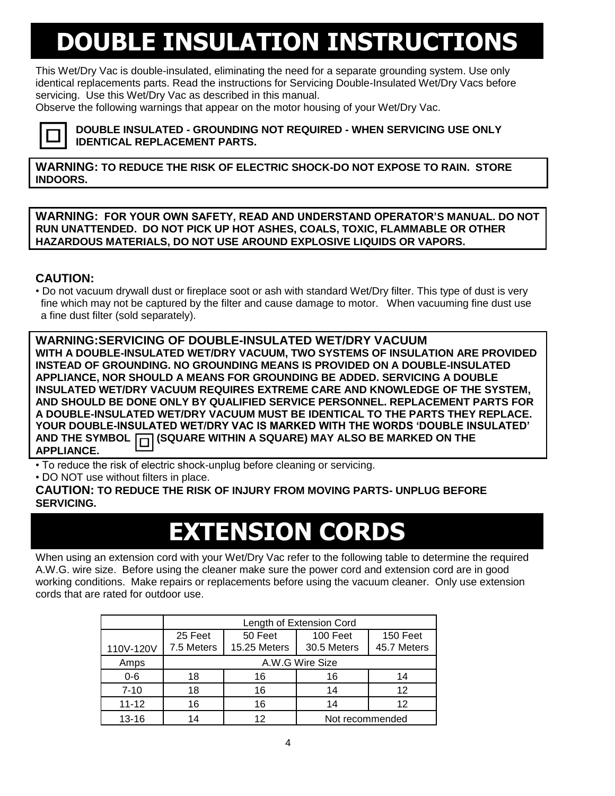### **DOUBLE INSULATION INSTRUCTIONS**

This Wet/Dry Vac is double-insulated, eliminating the need for a separate grounding system. Use only identical replacements parts. Read the instructions for Servicing Double-Insulated Wet/Dry Vacs before servicing. Use this Wet/Dry Vac as described in this manual.

Observe the following warnings that appear on the motor housing of your Wet/Dry Vac.



**DOUBLE INSULATED - GROUNDING NOT REQUIRED - WHEN SERVICING USE ONLY IDENTICAL REPLACEMENT PARTS.**

**WARNING: TO REDUCE THE RISK OF ELECTRIC SHOCK-DO NOT EXPOSE TO RAIN. STORE INDOORS.**

**WARNING: FOR YOUR OWN SAFETY, READ AND UNDERSTAND OPERATOR'S MANUAL. DO NOT RUN UNATTENDED. DO NOT PICK UP HOT ASHES, COALS, TOXIC, FLAMMABLE OR OTHER HAZARDOUS MATERIALS, DO NOT USE AROUND EXPLOSIVE LIQUIDS OR VAPORS.**

#### **CAUTION:**

• Do not vacuum drywall dust or fireplace soot or ash with standard Wet/Dry filter. This type of dust is very fine which may not be captured by the filter and cause damage to motor. When vacuuming fine dust use a fine dust filter (sold separately).

**WARNING:SERVICING OF DOUBLE-INSULATED WET/DRY VACUUM WITH A DOUBLE-INSULATED WET/DRY VACUUM, TWO SYSTEMS OF INSULATION ARE PROVIDED INSTEAD OF GROUNDING. NO GROUNDING MEANS IS PROVIDED ON A DOUBLE-INSULATED APPLIANCE, NOR SHOULD A MEANS FOR GROUNDING BE ADDED. SERVICING A DOUBLE INSULATED WET/DRY VACUUM REQUIRES EXTREME CARE AND KNOWLEDGE OF THE SYSTEM, AND SHOULD BE DONE ONLY BY QUALIFIED SERVICE PERSONNEL. REPLACEMENT PARTS FOR A DOUBLE-INSULATED WET/DRY VACUUM MUST BE IDENTICAL TO THE PARTS THEY REPLACE. YOUR DOUBLE-INSULATED WET/DRY VAC IS MARKED WITH THE WORDS 'DOUBLE INSULATED' AND THE SYMBOL (SQUARE WITHIN A SQUARE) MAY ALSO BE MARKED ON THE APPLIANCE.**

• To reduce the risk of electric shock-unplug before cleaning or servicing.

• DO NOT use without filters in place.

**CAUTION: TO REDUCE THE RISK OF INJURY FROM MOVING PARTS- UNPLUG BEFORE SERVICING.**

### **EXTENSION CORDS**

When using an extension cord with your Wet/Dry Vac refer to the following table to determine the required A.W.G. wire size. Before using the cleaner make sure the power cord and extension cord are in good working conditions. Make repairs or replacements before using the vacuum cleaner. Only use extension cords that are rated for outdoor use.

|           | Length of Extension Cord |              |                 |             |  |
|-----------|--------------------------|--------------|-----------------|-------------|--|
|           | 25 Feet                  | 50 Feet      | 100 Feet        | 150 Feet    |  |
| 110V-120V | 7.5 Meters               | 15.25 Meters | 30.5 Meters     | 45.7 Meters |  |
| Amps      | A.W.G Wire Size          |              |                 |             |  |
| $0-6$     | 18                       | 16           | 16              | 14          |  |
| $7 - 10$  | 18                       | 16           | 14              | 12          |  |
| $11 - 12$ | 16                       | 16           | 14              | 12          |  |
| $13 - 16$ | 14                       | 12           | Not recommended |             |  |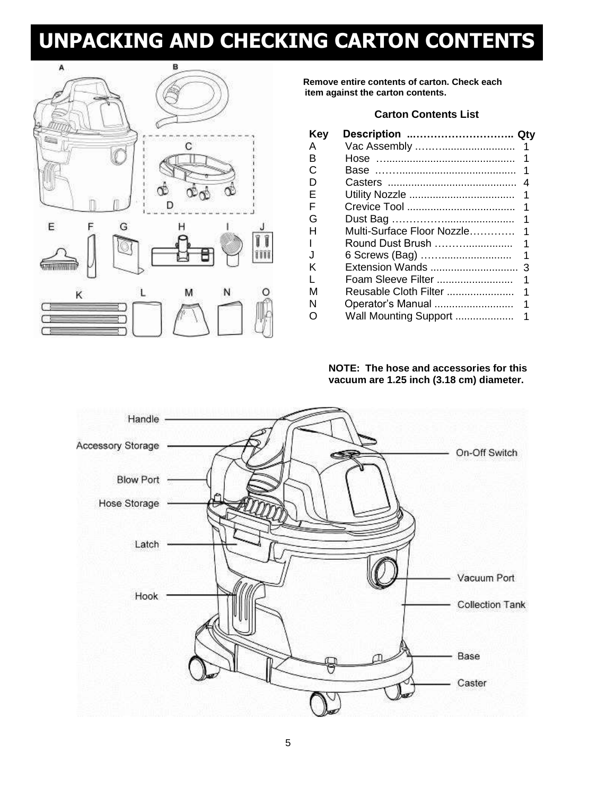### **UNPACKING AND CHECKING CARTON CONTENTS**



**Remove entire contents of carton. Check each item against the carton contents.**

#### **Carton Contents List**

| Key | Description  Qty      |     |
|-----|-----------------------|-----|
| А   |                       |     |
| B   |                       |     |
| C   |                       |     |
| D   |                       |     |
| E   |                       |     |
| F   |                       |     |
| G   |                       |     |
| н   |                       |     |
|     | Round Dust Brush      |     |
| J   | 6 Screws (Bag)        | - 1 |
| κ   |                       |     |
| L   | Foam Sleeve Filter    |     |
| м   | Reusable Cloth Filter |     |
| N   | Operator's Manual     |     |
| O   | Wall Mounting Support |     |
|     |                       |     |

#### **NOTE: The hose and accessories for this vacuum are 1.25 inch (3.18 cm) diameter.**

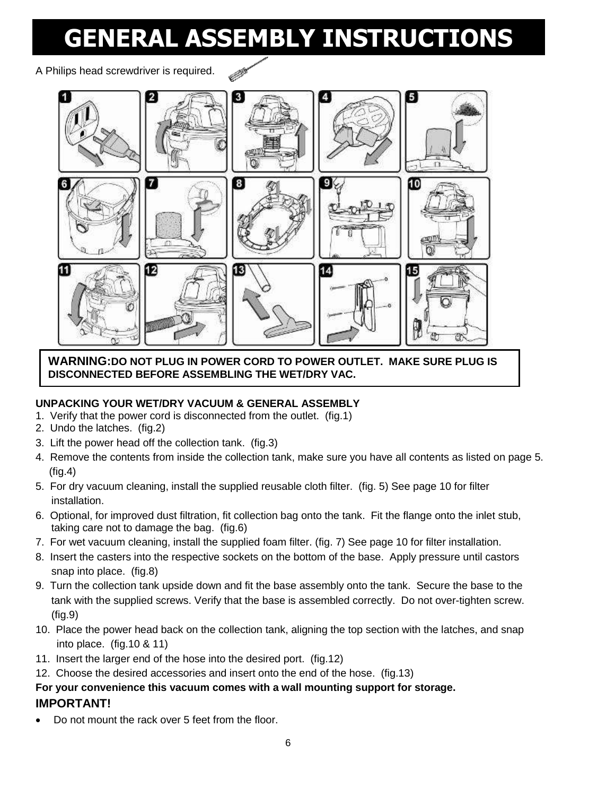### **GENERAL ASSEMBLY INSTRUCTIONS**

A Philips head screwdriver is required.



**WARNING:DO NOT PLUG IN POWER CORD TO POWER OUTLET. MAKE SURE PLUG IS DISCONNECTED BEFORE ASSEMBLING THE WET/DRY VAC.**

#### **UNPACKING YOUR WET/DRY VACUUM & GENERAL ASSEMBLY**

- 1. Verify that the power cord is disconnected from the outlet. (fig.1)
- 2. Undo the latches. (fig.2)
- 3. Lift the power head off the collection tank. (fig.3)
- 4. Remove the contents from inside the collection tank, make sure you have all contents as listed on page 5. (fig.4)
- 5. For dry vacuum cleaning, install the supplied reusable cloth filter. (fig. 5) See page 10 for filter installation.
- 6. Optional, for improved dust filtration, fit collection bag onto the tank. Fit the flange onto the inlet stub, taking care not to damage the bag. (fig.6)
- 7. For wet vacuum cleaning, install the supplied foam filter. (fig. 7) See page 10 for filter installation.
- 8. Insert the casters into the respective sockets on the bottom of the base. Apply pressure until castors snap into place. (fig.8)
- 9. Turn the collection tank upside down and fit the base assembly onto the tank. Secure the base to the tank with the supplied screws. Verify that the base is assembled correctly. Do not over-tighten screw. (fig.9)
- 10. Place the power head back on the collection tank, aligning the top section with the latches, and snap into place. (fig.10 & 11)
- 11. Insert the larger end of the hose into the desired port. (fig.12)
- 12. Choose the desired accessories and insert onto the end of the hose. (fig.13)

#### **For your convenience this vacuum comes with a wall mounting support for storage. IMPORTANT!**

Do not mount the rack over 5 feet from the floor.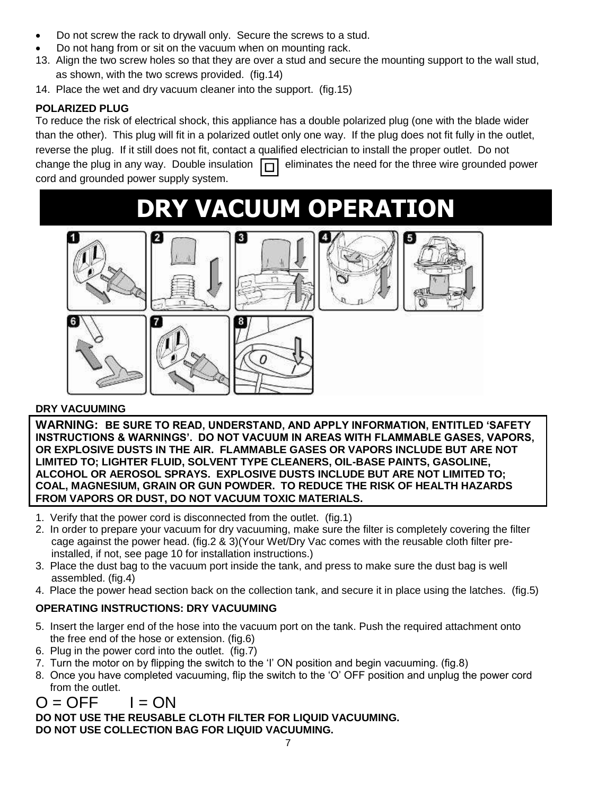- Do not screw the rack to drywall only. Secure the screws to a stud.
- Do not hang from or sit on the vacuum when on mounting rack.
- 13. Align the two screw holes so that they are over a stud and secure the mounting support to the wall stud, as shown, with the two screws provided. (fig.14)
- 14. Place the wet and dry vacuum cleaner into the support. (fig.15)

#### **POLARIZED PLUG**

To reduce the risk of electrical shock, this appliance has a double polarized plug (one with the blade wider than the other). This plug will fit in a polarized outlet only one way. If the plug does not fit fully in the outlet, reverse the plug. If it still does not fit, contact a qualified electrician to install the proper outlet. Do not change the plug in any way. Double insulation  $\Box$  eliminates the need for the three wire grounded power cord and grounded power supply system.

### **DRY VACUUM OPERATION**









#### **DRY VACUUMING**

**WARNING: BE SURE TO READ, UNDERSTAND, AND APPLY INFORMATION, ENTITLED 'SAFETY INSTRUCTIONS & WARNINGS'. DO NOT VACUUM IN AREAS WITH FLAMMABLE GASES, VAPORS, OR EXPLOSIVE DUSTS IN THE AIR. FLAMMABLE GASES OR VAPORS INCLUDE BUT ARE NOT LIMITED TO; LIGHTER FLUID, SOLVENT TYPE CLEANERS, OIL-BASE PAINTS, GASOLINE, ALCOHOL OR AEROSOL SPRAYS. EXPLOSIVE DUSTS INCLUDE BUT ARE NOT LIMITED TO; COAL, MAGNESIUM, GRAIN OR GUN POWDER. TO REDUCE THE RISK OF HEALTH HAZARDS FROM VAPORS OR DUST, DO NOT VACUUM TOXIC MATERIALS.**

- 1. Verify that the power cord is disconnected from the outlet. (fig.1)
- 2. In order to prepare your vacuum for dry vacuuming, make sure the filter is completely covering the filter cage against the power head. (fig.2 & 3)(Your Wet/Dry Vac comes with the reusable cloth filter preinstalled, if not, see page 10 for installation instructions.)
- 3. Place the dust bag to the vacuum port inside the tank, and press to make sure the dust bag is well assembled. (fig.4)
- 4. Place the power head section back on the collection tank, and secure it in place using the latches. (fig.5)

#### **OPERATING INSTRUCTIONS: DRY VACUUMING**

- 5. Insert the larger end of the hose into the vacuum port on the tank. Push the required attachment onto the free end of the hose or extension. (fig.6)
- 6. Plug in the power cord into the outlet. (fig.7)
- 7. Turn the motor on by flipping the switch to the 'I' ON position and begin vacuuming. (fig.8)
- 8. Once you have completed vacuuming, flip the switch to the 'O' OFF position and unplug the power cord from the outlet.

### $O = OFF$   $I = ON$

**DO NOT USE THE REUSABLE CLOTH FILTER FOR LIQUID VACUUMING. DO NOT USE COLLECTION BAG FOR LIQUID VACUUMING.**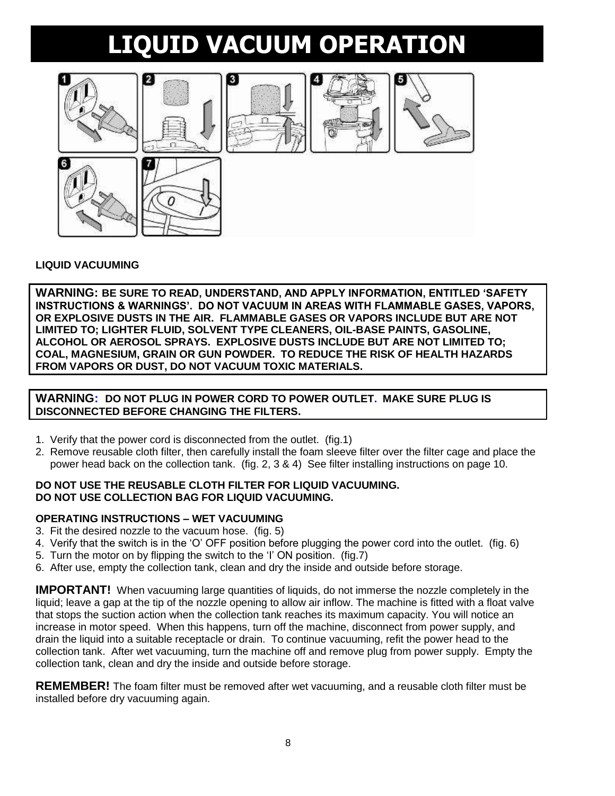## **LIQUID VACUUM OPERATION**



#### **LIQUID VACUUMING**

**WARNING: BE SURE TO READ, UNDERSTAND, AND APPLY INFORMATION, ENTITLED 'SAFETY INSTRUCTIONS & WARNINGS'. DO NOT VACUUM IN AREAS WITH FLAMMABLE GASES, VAPORS, OR EXPLOSIVE DUSTS IN THE AIR. FLAMMABLE GASES OR VAPORS INCLUDE BUT ARE NOT LIMITED TO; LIGHTER FLUID, SOLVENT TYPE CLEANERS, OIL-BASE PAINTS, GASOLINE, ALCOHOL OR AEROSOL SPRAYS. EXPLOSIVE DUSTS INCLUDE BUT ARE NOT LIMITED TO; COAL, MAGNESIUM, GRAIN OR GUN POWDER. TO REDUCE THE RISK OF HEALTH HAZARDS FROM VAPORS OR DUST, DO NOT VACUUM TOXIC MATERIALS.**

**WARNING: DO NOT PLUG IN POWER CORD TO POWER OUTLET. MAKE SURE PLUG IS DISCONNECTED BEFORE CHANGING THE FILTERS.**

- 1. Verify that the power cord is disconnected from the outlet. (fig.1)
- 2. Remove reusable cloth filter, then carefully install the foam sleeve filter over the filter cage and place the power head back on the collection tank. (fig. 2, 3 & 4) See filter installing instructions on page 10.

#### **DO NOT USE THE REUSABLE CLOTH FILTER FOR LIQUID VACUUMING. DO NOT USE COLLECTION BAG FOR LIQUID VACUUMING.**

#### **OPERATING INSTRUCTIONS – WET VACUUMING**

- 3. Fit the desired nozzle to the vacuum hose. (fig. 5)
- 4. Verify that the switch is in the 'O' OFF position before plugging the power cord into the outlet. (fig. 6)
- 5. Turn the motor on by flipping the switch to the 'I' ON position. (fig.7)
- 6. After use, empty the collection tank, clean and dry the inside and outside before storage.

**IMPORTANT!** When vacuuming large quantities of liquids, do not immerse the nozzle completely in the liquid; leave a gap at the tip of the nozzle opening to allow air inflow. The machine is fitted with a float valve that stops the suction action when the collection tank reaches its maximum capacity. You will notice an increase in motor speed. When this happens, turn off the machine, disconnect from power supply, and drain the liquid into a suitable receptacle or drain. To continue vacuuming, refit the power head to the collection tank. After wet vacuuming, turn the machine off and remove plug from power supply. Empty the collection tank, clean and dry the inside and outside before storage.

**REMEMBER!** The foam filter must be removed after wet vacuuming, and a reusable cloth filter must be installed before dry vacuuming again.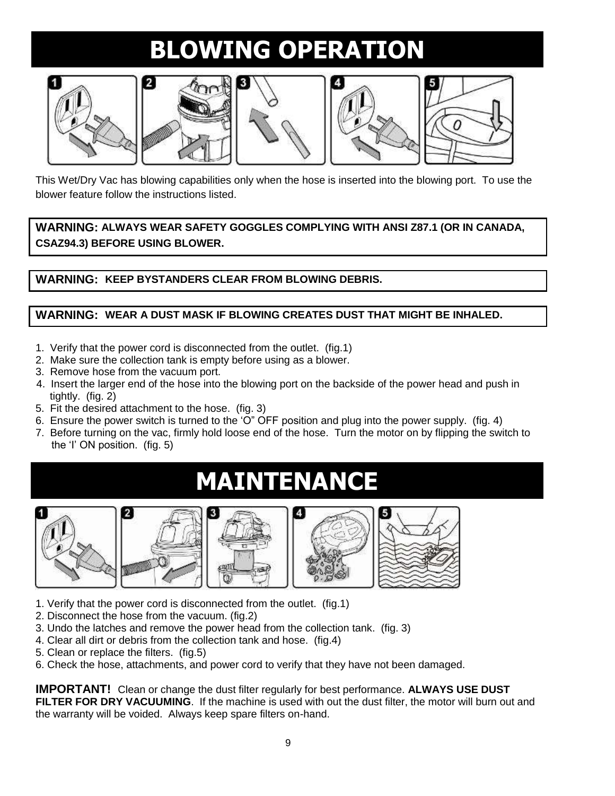## **BLOWING OPERATION**











This Wet/Dry Vac has blowing capabilities only when the hose is inserted into the blowing port. To use the blower feature follow the instructions listed.

**WARNING: ALWAYS WEAR SAFETY GOGGLES COMPLYING WITH ANSI Z87.1 (OR IN CANADA, CSAZ94.3) BEFORE USING BLOWER.**

**WARNING: KEEP BYSTANDERS CLEAR FROM BLOWING DEBRIS.**

#### **WARNING: WEAR A DUST MASK IF BLOWING CREATES DUST THAT MIGHT BE INHALED.**

- 1. Verify that the power cord is disconnected from the outlet. (fig.1)
- 2. Make sure the collection tank is empty before using as a blower.
- 3. Remove hose from the vacuum port.
- 4. Insert the larger end of the hose into the blowing port on the backside of the power head and push in tightly. (fig. 2)
- 5. Fit the desired attachment to the hose. (fig. 3)
- 6. Ensure the power switch is turned to the 'O" OFF position and plug into the power supply. (fig. 4)
- 7. Before turning on the vac, firmly hold loose end of the hose. Turn the motor on by flipping the switch to the 'I' ON position. (fig. 5)

### **MAINTENANCE**









- 1. Verify that the power cord is disconnected from the outlet. (fig.1)
- 2. Disconnect the hose from the vacuum. (fig.2)
- 3. Undo the latches and remove the power head from the collection tank. (fig. 3)
- 4. Clear all dirt or debris from the collection tank and hose. (fig.4)
- 5. Clean or replace the filters. (fig.5)
- 6. Check the hose, attachments, and power cord to verify that they have not been damaged.

**IMPORTANT!** Clean or change the dust filter regularly for best performance. **ALWAYS USE DUST**  FILTER FOR DRY VACUUMING. If the machine is used with out the dust filter, the motor will burn out and the warranty will be voided. Always keep spare filters on-hand.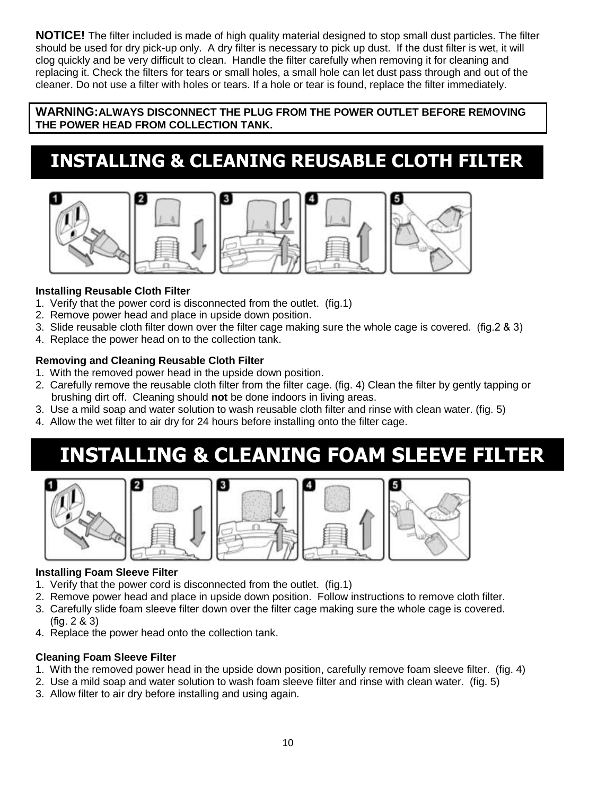**NOTICE!** The filter included is made of high quality material designed to stop small dust particles. The filter should be used for dry pick-up only. A dry filter is necessary to pick up dust. If the dust filter is wet, it will clog quickly and be very difficult to clean. Handle the filter carefully when removing it for cleaning and replacing it. Check the filters for tears or small holes, a small hole can let dust pass through and out of the cleaner. Do not use a filter with holes or tears. If a hole or tear is found, replace the filter immediately.

**WARNING:ALWAYS DISCONNECT THE PLUG FROM THE POWER OUTLET BEFORE REMOVING THE POWER HEAD FROM COLLECTION TANK.**

### **INSTALLING & CLEANING REUSABLE CLOTH FILTER**







#### **Installing Reusable Cloth Filter**

- 1. Verify that the power cord is disconnected from the outlet. (fig.1)
- 2. Remove power head and place in upside down position.
- 3. Slide reusable cloth filter down over the filter cage making sure the whole cage is covered. (fig.2 & 3)
- 4. Replace the power head on to the collection tank.

#### **Removing and Cleaning Reusable Cloth Filter**

- 1. With the removed power head in the upside down position.
- 2. Carefully remove the reusable cloth filter from the filter cage. (fig. 4) Clean the filter by gently tapping or brushing dirt off. Cleaning should **not** be done indoors in living areas.
- 3. Use a mild soap and water solution to wash reusable cloth filter and rinse with clean water. (fig. 5)
- 4. Allow the wet filter to air dry for 24 hours before installing onto the filter cage.

### **INSTALLING & CLEANING FOAM SLEEVE FILTER**



#### **Installing Foam Sleeve Filter**

- 1. Verify that the power cord is disconnected from the outlet. (fig.1)
- 2. Remove power head and place in upside down position. Follow instructions to remove cloth filter.
- 3. Carefully slide foam sleeve filter down over the filter cage making sure the whole cage is covered. (fig. 2 & 3)
- 4. Replace the power head onto the collection tank.

#### **Cleaning Foam Sleeve Filter**

- 1. With the removed power head in the upside down position, carefully remove foam sleeve filter. (fig. 4)
- 2. Use a mild soap and water solution to wash foam sleeve filter and rinse with clean water. (fig. 5)
- 3. Allow filter to air dry before installing and using again.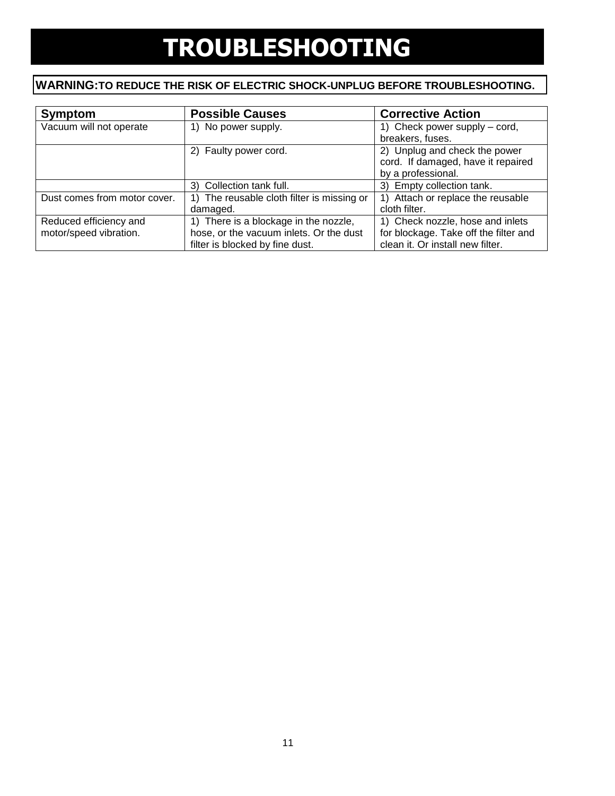### **TROUBLESHOOTING**

### **WARNING:TO REDUCE THE RISK OF ELECTRIC SHOCK-UNPLUG BEFORE TROUBLESHOOTING.**

| Symptom                      | <b>Possible Causes</b>                     | <b>Corrective Action</b>              |
|------------------------------|--------------------------------------------|---------------------------------------|
| Vacuum will not operate      | 1) No power supply.                        | 1) Check power supply – cord,         |
|                              |                                            | breakers, fuses.                      |
|                              | 2) Faulty power cord.                      | 2) Unplug and check the power         |
|                              |                                            | cord. If damaged, have it repaired    |
|                              |                                            | by a professional.                    |
|                              | 3) Collection tank full.                   | 3) Empty collection tank.             |
| Dust comes from motor cover. | 1) The reusable cloth filter is missing or | 1) Attach or replace the reusable     |
|                              | damaged.                                   | cloth filter.                         |
| Reduced efficiency and       | 1) There is a blockage in the nozzle,      | 1) Check nozzle, hose and inlets      |
| motor/speed vibration.       | hose, or the vacuum inlets. Or the dust    | for blockage. Take off the filter and |
|                              | filter is blocked by fine dust.            | clean it. Or install new filter.      |